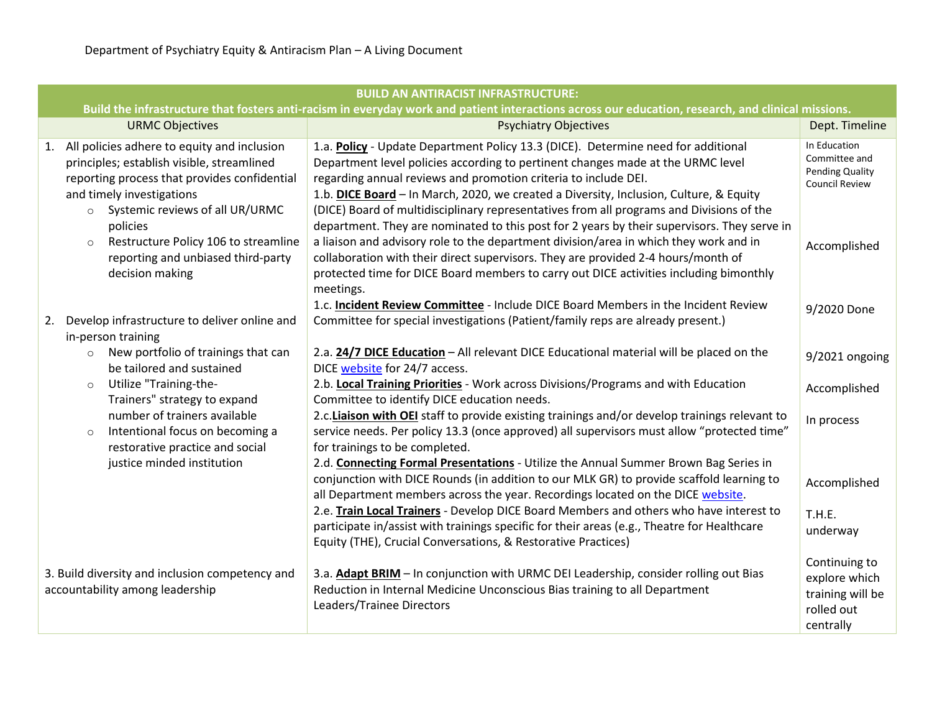| <b>BUILD AN ANTIRACIST INFRASTRUCTURE:</b>                                                                                                                                                                              |                                                                                                                                                                                                                                                                                                                                                                                                                               |                                                                                  |  |
|-------------------------------------------------------------------------------------------------------------------------------------------------------------------------------------------------------------------------|-------------------------------------------------------------------------------------------------------------------------------------------------------------------------------------------------------------------------------------------------------------------------------------------------------------------------------------------------------------------------------------------------------------------------------|----------------------------------------------------------------------------------|--|
| Build the infrastructure that fosters anti-racism in everyday work and patient interactions across our education, research, and clinical missions.                                                                      |                                                                                                                                                                                                                                                                                                                                                                                                                               |                                                                                  |  |
| <b>URMC Objectives</b>                                                                                                                                                                                                  | <b>Psychiatry Objectives</b>                                                                                                                                                                                                                                                                                                                                                                                                  | Dept. Timeline                                                                   |  |
| 1. All policies adhere to equity and inclusion<br>principles; establish visible, streamlined<br>reporting process that provides confidential<br>and timely investigations<br>Systemic reviews of all UR/URMC<br>$\circ$ | 1.a. Policy - Update Department Policy 13.3 (DICE). Determine need for additional<br>Department level policies according to pertinent changes made at the URMC level<br>regarding annual reviews and promotion criteria to include DEI.<br>1.b. DICE Board - In March, 2020, we created a Diversity, Inclusion, Culture, & Equity<br>(DICE) Board of multidisciplinary representatives from all programs and Divisions of the | In Education<br>Committee and<br><b>Pending Quality</b><br><b>Council Review</b> |  |
| policies<br>Restructure Policy 106 to streamline<br>$\circ$<br>reporting and unbiased third-party<br>decision making                                                                                                    | department. They are nominated to this post for 2 years by their supervisors. They serve in<br>a liaison and advisory role to the department division/area in which they work and in<br>collaboration with their direct supervisors. They are provided 2-4 hours/month of<br>protected time for DICE Board members to carry out DICE activities including bimonthly<br>meetings.                                              | Accomplished                                                                     |  |
| 2. Develop infrastructure to deliver online and<br>in-person training                                                                                                                                                   | 1.c. Incident Review Committee - Include DICE Board Members in the Incident Review<br>Committee for special investigations (Patient/family reps are already present.)                                                                                                                                                                                                                                                         | 9/2020 Done                                                                      |  |
| New portfolio of trainings that can<br>$\circ$<br>be tailored and sustained                                                                                                                                             | 2.a. 24/7 DICE Education - All relevant DICE Educational material will be placed on the<br>DICE website for 24/7 access.                                                                                                                                                                                                                                                                                                      | 9/2021 ongoing                                                                   |  |
| Utilize "Training-the-<br>$\circ$<br>Trainers" strategy to expand                                                                                                                                                       | 2.b. Local Training Priorities - Work across Divisions/Programs and with Education<br>Committee to identify DICE education needs.                                                                                                                                                                                                                                                                                             | Accomplished                                                                     |  |
| number of trainers available<br>Intentional focus on becoming a<br>$\circ$<br>restorative practice and social                                                                                                           | 2.c. Liaison with OEI staff to provide existing trainings and/or develop trainings relevant to<br>service needs. Per policy 13.3 (once approved) all supervisors must allow "protected time"<br>for trainings to be completed.                                                                                                                                                                                                | In process                                                                       |  |
| justice minded institution                                                                                                                                                                                              | 2.d. Connecting Formal Presentations - Utilize the Annual Summer Brown Bag Series in<br>conjunction with DICE Rounds (in addition to our MLK GR) to provide scaffold learning to<br>all Department members across the year. Recordings located on the DICE website.                                                                                                                                                           | Accomplished                                                                     |  |
|                                                                                                                                                                                                                         | 2.e. Train Local Trainers - Develop DICE Board Members and others who have interest to<br>participate in/assist with trainings specific for their areas (e.g., Theatre for Healthcare<br>Equity (THE), Crucial Conversations, & Restorative Practices)                                                                                                                                                                        | T.H.E.<br>underway                                                               |  |
| 3. Build diversity and inclusion competency and<br>accountability among leadership                                                                                                                                      | 3.a. Adapt BRIM - In conjunction with URMC DEI Leadership, consider rolling out Bias<br>Reduction in Internal Medicine Unconscious Bias training to all Department<br>Leaders/Trainee Directors                                                                                                                                                                                                                               | Continuing to<br>explore which<br>training will be<br>rolled out<br>centrally    |  |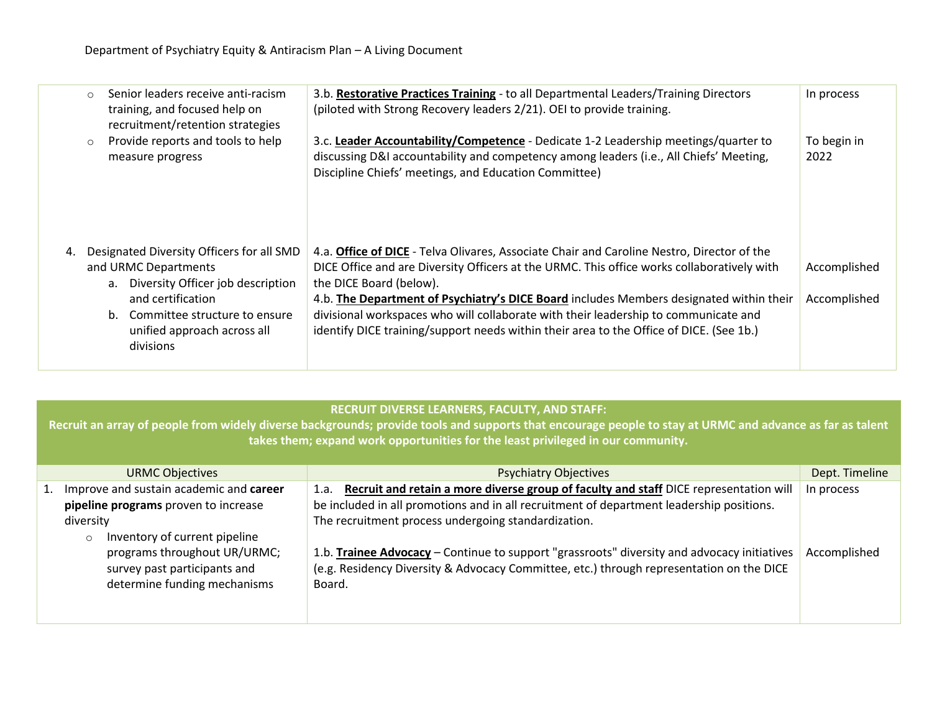|    | Senior leaders receive anti-racism<br>$\circ$<br>training, and focused help on<br>recruitment/retention strategies | 3.b. Restorative Practices Training - to all Departmental Leaders/Training Directors<br>(piloted with Strong Recovery leaders 2/21). OEI to provide training.                                                                                                             | In process          |
|----|--------------------------------------------------------------------------------------------------------------------|---------------------------------------------------------------------------------------------------------------------------------------------------------------------------------------------------------------------------------------------------------------------------|---------------------|
|    | Provide reports and tools to help<br>$\circ$<br>measure progress                                                   | 3.c. Leader Accountability/Competence - Dedicate 1-2 Leadership meetings/quarter to<br>discussing D&I accountability and competency among leaders (i.e., All Chiefs' Meeting,<br>Discipline Chiefs' meetings, and Education Committee)                                    | To begin in<br>2022 |
| 4. | Designated Diversity Officers for all SMD                                                                          | 4.a. Office of DICE - Telva Olivares, Associate Chair and Caroline Nestro, Director of the<br>DICE Office and are Diversity Officers at the URMC. This office works collaboratively with                                                                                  |                     |
|    | and URMC Departments<br>a. Diversity Officer job description                                                       | the DICE Board (below).                                                                                                                                                                                                                                                   | Accomplished        |
|    | and certification<br>b. Committee structure to ensure<br>unified approach across all<br>divisions                  | 4.b. The Department of Psychiatry's DICE Board includes Members designated within their<br>divisional workspaces who will collaborate with their leadership to communicate and<br>identify DICE training/support needs within their area to the Office of DICE. (See 1b.) | Accomplished        |
|    |                                                                                                                    |                                                                                                                                                                                                                                                                           |                     |

## **RECRUIT DIVERSE LEARNERS, FACULTY, AND STAFF:**

**Recruit an array of people from widely diverse backgrounds; provide tools and supports that encourage people to stay at URMC and advance as far as talent takes them; expand work opportunities for the least privileged in our community.**

| <b>URMC Objectives</b>                                                                                                           | <b>Psychiatry Objectives</b>                                                                                                                                                                                                                     | Dept. Timeline |
|----------------------------------------------------------------------------------------------------------------------------------|--------------------------------------------------------------------------------------------------------------------------------------------------------------------------------------------------------------------------------------------------|----------------|
| 1. Improve and sustain academic and career<br>pipeline programs proven to increase<br>diversity<br>Inventory of current pipeline | Recruit and retain a more diverse group of faculty and staff DICE representation will<br>1.a.<br>be included in all promotions and in all recruitment of department leadership positions.<br>The recruitment process undergoing standardization. | In process     |
| programs throughout UR/URMC;<br>survey past participants and<br>determine funding mechanisms                                     | 1.b. Trainee Advocacy - Continue to support "grassroots" diversity and advocacy initiatives<br>(e.g. Residency Diversity & Advocacy Committee, etc.) through representation on the DICE<br>Board.                                                | Accomplished   |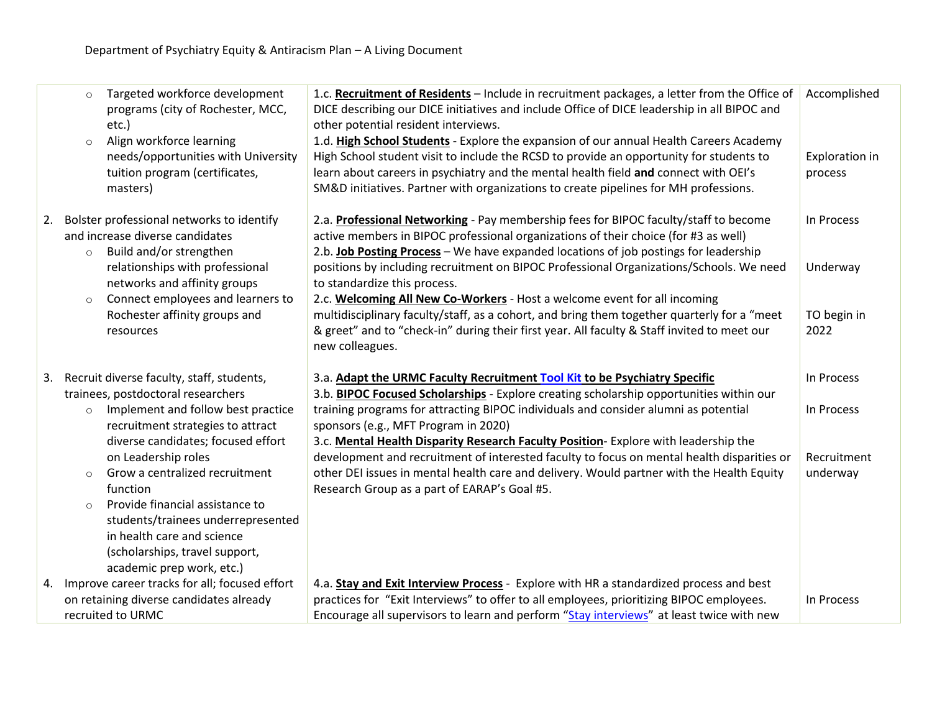|    | Targeted workforce development<br>$\circ$<br>programs (city of Rochester, MCC,<br>etc.)<br>Align workforce learning<br>$\circ$<br>needs/opportunities with University<br>tuition program (certificates,<br>masters)                                                                                                                                                                                                                                                          | 1.c. Recruitment of Residents - Include in recruitment packages, a letter from the Office of<br>DICE describing our DICE initiatives and include Office of DICE leadership in all BIPOC and<br>other potential resident interviews.<br>1.d. High School Students - Explore the expansion of our annual Health Careers Academy<br>High School student visit to include the RCSD to provide an opportunity for students to<br>learn about careers in psychiatry and the mental health field and connect with OEI's<br>SM&D initiatives. Partner with organizations to create pipelines for MH professions.                                                                                     | Accomplished<br>Exploration in<br>process           |
|----|------------------------------------------------------------------------------------------------------------------------------------------------------------------------------------------------------------------------------------------------------------------------------------------------------------------------------------------------------------------------------------------------------------------------------------------------------------------------------|----------------------------------------------------------------------------------------------------------------------------------------------------------------------------------------------------------------------------------------------------------------------------------------------------------------------------------------------------------------------------------------------------------------------------------------------------------------------------------------------------------------------------------------------------------------------------------------------------------------------------------------------------------------------------------------------|-----------------------------------------------------|
| 2. | Bolster professional networks to identify<br>and increase diverse candidates<br>Build and/or strengthen<br>$\circ$<br>relationships with professional<br>networks and affinity groups<br>Connect employees and learners to<br>$\circ$<br>Rochester affinity groups and<br>resources                                                                                                                                                                                          | 2.a. Professional Networking - Pay membership fees for BIPOC faculty/staff to become<br>active members in BIPOC professional organizations of their choice (for #3 as well)<br>2.b. Job Posting Process - We have expanded locations of job postings for leadership<br>positions by including recruitment on BIPOC Professional Organizations/Schools. We need<br>to standardize this process.<br>2.c. Welcoming All New Co-Workers - Host a welcome event for all incoming<br>multidisciplinary faculty/staff, as a cohort, and bring them together quarterly for a "meet<br>& greet" and to "check-in" during their first year. All faculty & Staff invited to meet our<br>new colleagues. | In Process<br>Underway<br>TO begin in<br>2022       |
| 3. | Recruit diverse faculty, staff, students,<br>trainees, postdoctoral researchers<br>Implement and follow best practice<br>$\circ$<br>recruitment strategies to attract<br>diverse candidates; focused effort<br>on Leadership roles<br>Grow a centralized recruitment<br>$\circ$<br>function<br>Provide financial assistance to<br>$\circ$<br>students/trainees underrepresented<br>in health care and science<br>(scholarships, travel support,<br>academic prep work, etc.) | 3.a. Adapt the URMC Faculty Recruitment Tool Kit to be Psychiatry Specific<br>3.b. BIPOC Focused Scholarships - Explore creating scholarship opportunities within our<br>training programs for attracting BIPOC individuals and consider alumni as potential<br>sponsors (e.g., MFT Program in 2020)<br>3.c. Mental Health Disparity Research Faculty Position-Explore with leadership the<br>development and recruitment of interested faculty to focus on mental health disparities or<br>other DEI issues in mental health care and delivery. Would partner with the Health Equity<br>Research Group as a part of EARAP's Goal #5.                                                        | In Process<br>In Process<br>Recruitment<br>underway |
| 4. | Improve career tracks for all; focused effort<br>on retaining diverse candidates already<br>recruited to URMC                                                                                                                                                                                                                                                                                                                                                                | 4.a. Stay and Exit Interview Process - Explore with HR a standardized process and best<br>practices for "Exit Interviews" to offer to all employees, prioritizing BIPOC employees.<br>Encourage all supervisors to learn and perform "Stay interviews" at least twice with new                                                                                                                                                                                                                                                                                                                                                                                                               | In Process                                          |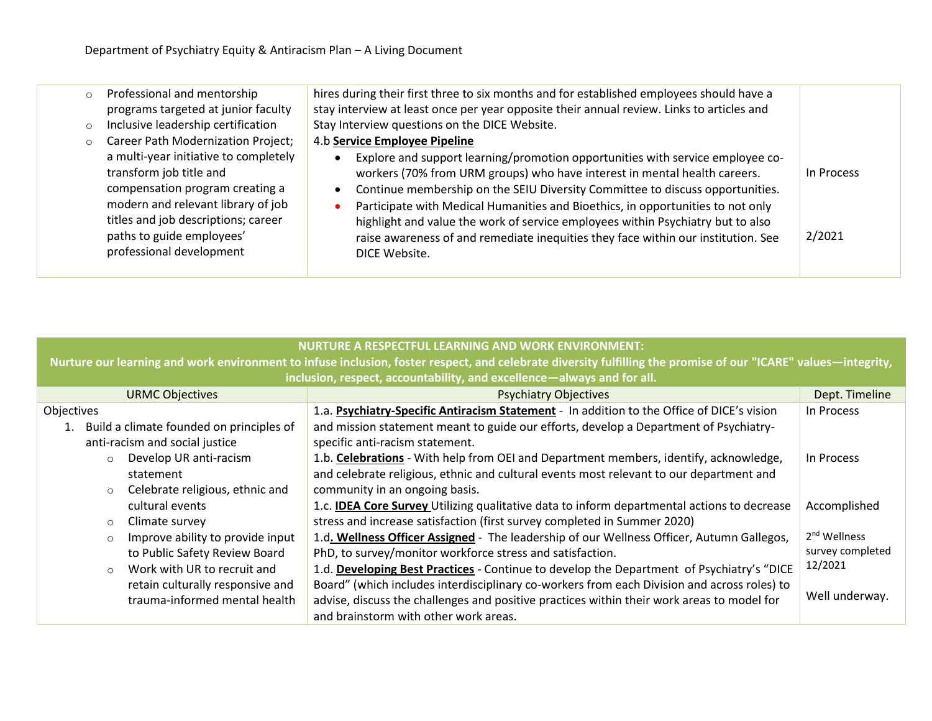| $\circ$ | Professional and mentorship<br>programs targeted at junior faculty                                                                                                                                                                        | hires during their first three to six months and for established employees should have a<br>stay interview at least once per year opposite their annual review. Links to articles and                                                                                                                                                                                                                                                                                                                                                 |                      |
|---------|-------------------------------------------------------------------------------------------------------------------------------------------------------------------------------------------------------------------------------------------|---------------------------------------------------------------------------------------------------------------------------------------------------------------------------------------------------------------------------------------------------------------------------------------------------------------------------------------------------------------------------------------------------------------------------------------------------------------------------------------------------------------------------------------|----------------------|
| $\circ$ | Inclusive leadership certification                                                                                                                                                                                                        | Stay Interview questions on the DICE Website.                                                                                                                                                                                                                                                                                                                                                                                                                                                                                         |                      |
| $\circ$ | Career Path Modernization Project;                                                                                                                                                                                                        | 4.b Service Employee Pipeline                                                                                                                                                                                                                                                                                                                                                                                                                                                                                                         |                      |
|         | a multi-year initiative to completely<br>transform job title and<br>compensation program creating a<br>modern and relevant library of job<br>titles and job descriptions; career<br>paths to guide employees'<br>professional development | Explore and support learning/promotion opportunities with service employee co-<br>workers (70% from URM groups) who have interest in mental health careers.<br>Continue membership on the SEIU Diversity Committee to discuss opportunities.<br>$\bullet$<br>Participate with Medical Humanities and Bioethics, in opportunities to not only<br>highlight and value the work of service employees within Psychiatry but to also<br>raise awareness of and remediate inequities they face within our institution. See<br>DICE Website. | In Process<br>2/2021 |

| <b>NURTURE A RESPECTFUL LEARNING AND WORK ENVIRONMENT:</b>             |                                                                                                                                                                |                          |  |
|------------------------------------------------------------------------|----------------------------------------------------------------------------------------------------------------------------------------------------------------|--------------------------|--|
|                                                                        | Nurture our learning and work environment to infuse inclusion, foster respect, and celebrate diversity fulfilling the promise of our "ICARE" values—integrity, |                          |  |
| inclusion, respect, accountability, and excellence-always and for all. |                                                                                                                                                                |                          |  |
| <b>URMC Objectives</b>                                                 | <b>Psychiatry Objectives</b>                                                                                                                                   | Dept. Timeline           |  |
| Objectives                                                             | 1.a. Psychiatry-Specific Antiracism Statement - In addition to the Office of DICE's vision                                                                     | In Process               |  |
| 1. Build a climate founded on principles of                            | and mission statement meant to guide our efforts, develop a Department of Psychiatry-                                                                          |                          |  |
| anti-racism and social justice                                         | specific anti-racism statement.                                                                                                                                |                          |  |
| Develop UR anti-racism<br>$\circ$                                      | 1.b. Celebrations - With help from OEI and Department members, identify, acknowledge,                                                                          | In Process               |  |
| statement                                                              | and celebrate religious, ethnic and cultural events most relevant to our department and                                                                        |                          |  |
| Celebrate religious, ethnic and<br>$\circ$                             | community in an ongoing basis.                                                                                                                                 |                          |  |
| cultural events                                                        | 1.c. <b>IDEA Core Survey</b> Utilizing qualitative data to inform departmental actions to decrease                                                             | Accomplished             |  |
| Climate survey<br>$\circ$                                              | stress and increase satisfaction (first survey completed in Summer 2020)                                                                                       |                          |  |
| Improve ability to provide input<br>$\circ$                            | 1.d. Wellness Officer Assigned - The leadership of our Wellness Officer, Autumn Gallegos,                                                                      | 2 <sup>nd</sup> Wellness |  |
| to Public Safety Review Board                                          | PhD, to survey/monitor workforce stress and satisfaction.                                                                                                      | survey completed         |  |
| Work with UR to recruit and<br>$\circ$                                 | 1.d. Developing Best Practices - Continue to develop the Department of Psychiatry's "DICE                                                                      | 12/2021                  |  |
| retain culturally responsive and                                       | Board" (which includes interdisciplinary co-workers from each Division and across roles) to                                                                    |                          |  |
| trauma-informed mental health                                          | advise, discuss the challenges and positive practices within their work areas to model for                                                                     | Well underway.           |  |
|                                                                        | and brainstorm with other work areas.                                                                                                                          |                          |  |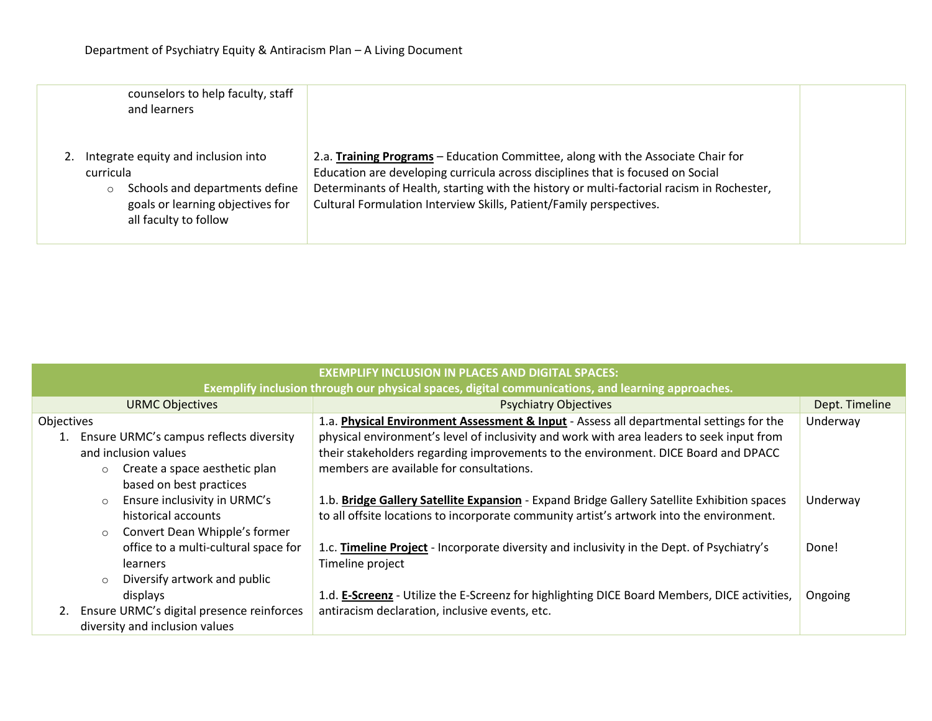| counselors to help faculty, staff<br>and learners                                                                                                          |                                                                                                                                                                                                                                                                                                                                         |  |
|------------------------------------------------------------------------------------------------------------------------------------------------------------|-----------------------------------------------------------------------------------------------------------------------------------------------------------------------------------------------------------------------------------------------------------------------------------------------------------------------------------------|--|
| Integrate equity and inclusion into<br>curricula<br>Schools and departments define<br>$\circ$<br>goals or learning objectives for<br>all faculty to follow | 2.a. Training Programs – Education Committee, along with the Associate Chair for<br>Education are developing curricula across disciplines that is focused on Social<br>Determinants of Health, starting with the history or multi-factorial racism in Rochester,<br>Cultural Formulation Interview Skills, Patient/Family perspectives. |  |

| <b>EXEMPLIFY INCLUSION IN PLACES AND DIGITAL SPACES:</b>                                          |                                                                                              |                |  |
|---------------------------------------------------------------------------------------------------|----------------------------------------------------------------------------------------------|----------------|--|
| Exemplify inclusion through our physical spaces, digital communications, and learning approaches. |                                                                                              |                |  |
| <b>URMC Objectives</b>                                                                            | <b>Psychiatry Objectives</b>                                                                 | Dept. Timeline |  |
| Objectives                                                                                        | 1.a. Physical Environment Assessment & Input - Assess all departmental settings for the      | Underway       |  |
| 1. Ensure URMC's campus reflects diversity                                                        | physical environment's level of inclusivity and work with area leaders to seek input from    |                |  |
| and inclusion values                                                                              | their stakeholders regarding improvements to the environment. DICE Board and DPACC           |                |  |
| Create a space aesthetic plan                                                                     | members are available for consultations.                                                     |                |  |
| based on best practices                                                                           |                                                                                              |                |  |
| Ensure inclusivity in URMC's<br>$\circ$                                                           | 1.b. Bridge Gallery Satellite Expansion - Expand Bridge Gallery Satellite Exhibition spaces  | Underway       |  |
| historical accounts                                                                               | to all offsite locations to incorporate community artist's artwork into the environment.     |                |  |
| Convert Dean Whipple's former<br>$\circ$                                                          |                                                                                              |                |  |
| office to a multi-cultural space for                                                              | 1.c. Timeline Project - Incorporate diversity and inclusivity in the Dept. of Psychiatry's   | Done!          |  |
| <b>learners</b>                                                                                   | Timeline project                                                                             |                |  |
| Diversify artwork and public<br>$\circ$                                                           |                                                                                              |                |  |
| displays                                                                                          | 1.d. E-Screenz - Utilize the E-Screenz for highlighting DICE Board Members, DICE activities, | Ongoing        |  |
| Ensure URMC's digital presence reinforces                                                         | antiracism declaration, inclusive events, etc.                                               |                |  |
| diversity and inclusion values                                                                    |                                                                                              |                |  |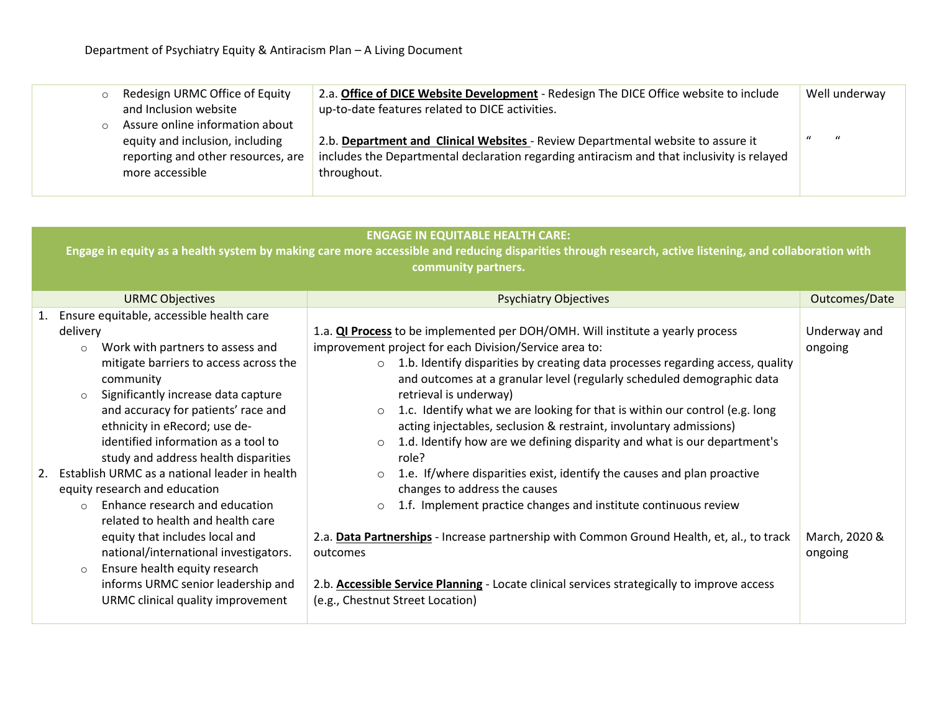| $\circ$ | Redesign URMC Office of Equity     | 2.a. Office of DICE Website Development - Redesign The DICE Office website to include      | Well underway                  |
|---------|------------------------------------|--------------------------------------------------------------------------------------------|--------------------------------|
|         | and Inclusion website              | up-to-date features related to DICE activities.                                            |                                |
| $\circ$ | Assure online information about    |                                                                                            |                                |
|         | equity and inclusion, including    | 2.b. Department and Clinical Websites - Review Departmental website to assure it           | $\mathbf{u}$<br>$\overline{u}$ |
|         | reporting and other resources, are | includes the Departmental declaration regarding antiracism and that inclusivity is relayed |                                |
|         | more accessible                    | throughout.                                                                                |                                |
|         |                                    |                                                                                            |                                |

## **ENGAGE IN EQUITABLE HEALTH CARE:**

**Engage in equity as a health system by making care more accessible and reducing disparities through research, active listening, and collaboration with community partners.**

| <b>URMC Objectives</b>                                                                                                                                                                                                                           | <b>Psychiatry Objectives</b>                                                                                                                                                                                                                                                                                                                                                                                                                                                                               | Outcomes/Date            |
|--------------------------------------------------------------------------------------------------------------------------------------------------------------------------------------------------------------------------------------------------|------------------------------------------------------------------------------------------------------------------------------------------------------------------------------------------------------------------------------------------------------------------------------------------------------------------------------------------------------------------------------------------------------------------------------------------------------------------------------------------------------------|--------------------------|
| 1. Ensure equitable, accessible health care                                                                                                                                                                                                      |                                                                                                                                                                                                                                                                                                                                                                                                                                                                                                            |                          |
| delivery<br>Work with partners to assess and<br>$\circ$<br>mitigate barriers to access across the<br>community<br>Significantly increase data capture<br>$\circ$<br>and accuracy for patients' race and<br>ethnicity in eRecord; use de-         | 1.a. <b>QI Process</b> to be implemented per DOH/OMH. Will institute a yearly process<br>improvement project for each Division/Service area to:<br>$\circ$ 1.b. Identify disparities by creating data processes regarding access, quality<br>and outcomes at a granular level (regularly scheduled demographic data<br>retrieval is underway)<br>$\circ$ 1.c. Identify what we are looking for that is within our control (e.g. long<br>acting injectables, seclusion & restraint, involuntary admissions) | Underway and<br>ongoing  |
| identified information as a tool to<br>study and address health disparities<br>Establish URMC as a national leader in health<br>equity research and education<br>Enhance research and education<br>$\Omega$<br>related to health and health care | 1.d. Identify how are we defining disparity and what is our department's<br>$\circ$<br>role?<br>1.e. If/where disparities exist, identify the causes and plan proactive<br>$\circ$<br>changes to address the causes<br>1.f. Implement practice changes and institute continuous review<br>$\circ$                                                                                                                                                                                                          |                          |
| equity that includes local and<br>national/international investigators.<br>Ensure health equity research<br>$\circ$<br>informs URMC senior leadership and<br>URMC clinical quality improvement                                                   | 2.a. Data Partnerships - Increase partnership with Common Ground Health, et, al., to track<br>outcomes<br>2.b. Accessible Service Planning - Locate clinical services strategically to improve access<br>(e.g., Chestnut Street Location)                                                                                                                                                                                                                                                                  | March, 2020 &<br>ongoing |